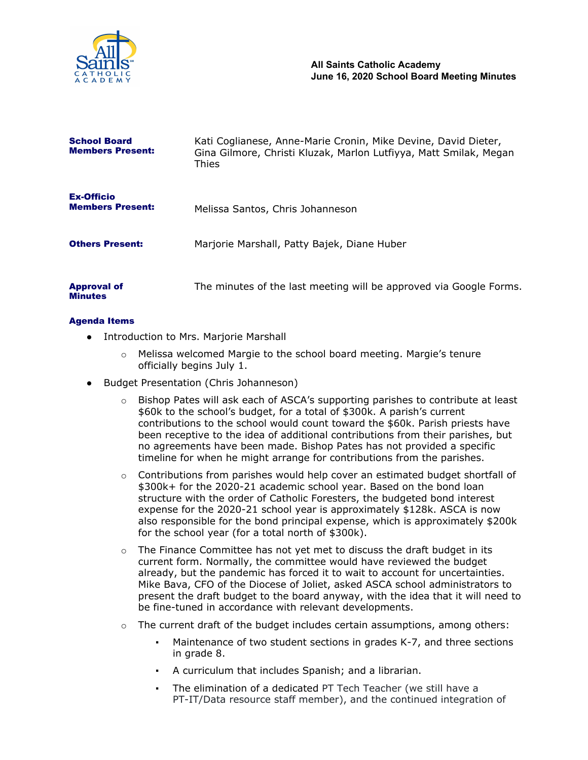

| <b>School Board</b><br><b>Members Present:</b> | Kati Coglianese, Anne-Marie Cronin, Mike Devine, David Dieter,<br>Gina Gilmore, Christi Kluzak, Marlon Lutfiyya, Matt Smilak, Megan<br>Thies |
|------------------------------------------------|----------------------------------------------------------------------------------------------------------------------------------------------|
| <b>Ex-Officio</b><br><b>Members Present:</b>   | Melissa Santos, Chris Johanneson                                                                                                             |
| <b>Others Present:</b>                         | Marjorie Marshall, Patty Bajek, Diane Huber                                                                                                  |
| <b>Approval of</b><br><b>Minutes</b>           | The minutes of the last meeting will be approved via Google Forms.                                                                           |

## Agenda Items

- Introduction to Mrs. Marjorie Marshall
	- $\circ$  Melissa welcomed Margie to the school board meeting. Margie's tenure officially begins July 1.
- Budget Presentation (Chris Johanneson)
	- $\circ$  Bishop Pates will ask each of ASCA's supporting parishes to contribute at least \$60k to the school's budget, for a total of \$300k. A parish's current contributions to the school would count toward the \$60k. Parish priests have been receptive to the idea of additional contributions from their parishes, but no agreements have been made. Bishop Pates has not provided a specific timeline for when he might arrange for contributions from the parishes.
	- $\circ$  Contributions from parishes would help cover an estimated budget shortfall of \$300k+ for the 2020-21 academic school year. Based on the bond loan structure with the order of Catholic Foresters, the budgeted bond interest expense for the 2020-21 school year is approximately \$128k. ASCA is now also responsible for the bond principal expense, which is approximately \$200k for the school year (for a total north of \$300k).
	- $\circ$  The Finance Committee has not yet met to discuss the draft budget in its current form. Normally, the committee would have reviewed the budget already, but the pandemic has forced it to wait to account for uncertainties. Mike Bava, CFO of the Diocese of Joliet, asked ASCA school administrators to present the draft budget to the board anyway, with the idea that it will need to be fine-tuned in accordance with relevant developments.
	- $\circ$  The current draft of the budget includes certain assumptions, among others:
		- Maintenance of two student sections in grades K-7, and three sections in grade 8.
		- A curriculum that includes Spanish; and a librarian.
		- The elimination of a dedicated PT Tech Teacher (we still have a PT-IT/Data resource staff member), and the continued integration of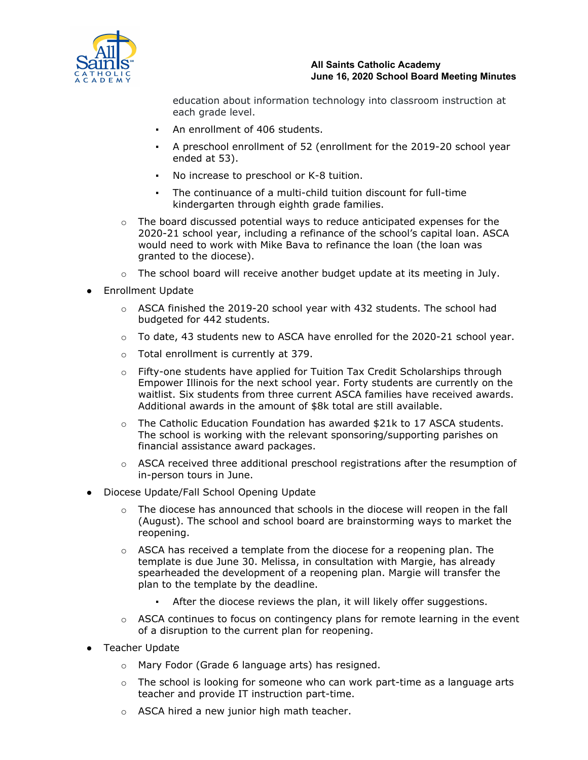

## **All Saints Catholic Academy June 16, 2020 School Board Meeting Minutes**

education about information technology into classroom instruction at each grade level.

- An enrollment of 406 students.
- A preschool enrollment of 52 (enrollment for the 2019-20 school year ended at 53).
- No increase to preschool or K-8 tuition.
- The continuance of a multi-child tuition discount for full-time kindergarten through eighth grade families.
- o The board discussed potential ways to reduce anticipated expenses for the 2020-21 school year, including a refinance of the school's capital loan. ASCA would need to work with Mike Bava to refinance the loan (the loan was granted to the diocese).
- $\circ$  The school board will receive another budget update at its meeting in July.
- Enrollment Update
	- $\circ$  ASCA finished the 2019-20 school year with 432 students. The school had budgeted for 442 students.
	- $\circ$  To date, 43 students new to ASCA have enrolled for the 2020-21 school year.
	- o Total enrollment is currently at 379.
	- $\circ$  Fifty-one students have applied for Tuition Tax Credit Scholarships through Empower Illinois for the next school year. Forty students are currently on the waitlist. Six students from three current ASCA families have received awards. Additional awards in the amount of \$8k total are still available.
	- $\circ$  The Catholic Education Foundation has awarded \$21k to 17 ASCA students. The school is working with the relevant sponsoring/supporting parishes on financial assistance award packages.
	- $\circ$  ASCA received three additional preschool registrations after the resumption of in-person tours in June.
- Diocese Update/Fall School Opening Update
	- $\circ$  The diocese has announced that schools in the diocese will reopen in the fall (August). The school and school board are brainstorming ways to market the reopening.
	- $\circ$  ASCA has received a template from the diocese for a reopening plan. The template is due June 30. Melissa, in consultation with Margie, has already spearheaded the development of a reopening plan. Margie will transfer the plan to the template by the deadline.
		- After the diocese reviews the plan, it will likely offer suggestions.
	- $\circ$  ASCA continues to focus on contingency plans for remote learning in the event of a disruption to the current plan for reopening.
- Teacher Update
	- o Mary Fodor (Grade 6 language arts) has resigned.
	- $\circ$  The school is looking for someone who can work part-time as a language arts teacher and provide IT instruction part-time.
	- o ASCA hired a new junior high math teacher.